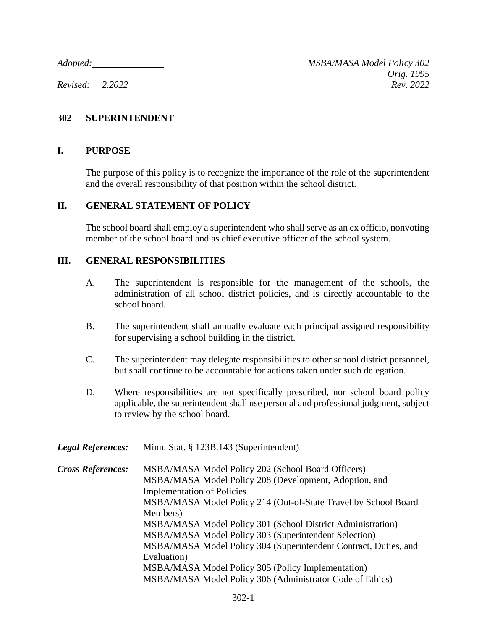*Adopted: MSBA/MASA Model Policy 302 Orig. 1995 Revised: 2.2022 Rev. 2022*

## **302 SUPERINTENDENT**

## **I. PURPOSE**

The purpose of this policy is to recognize the importance of the role of the superintendent and the overall responsibility of that position within the school district.

## **II. GENERAL STATEMENT OF POLICY**

The school board shall employ a superintendent who shall serve as an ex officio, nonvoting member of the school board and as chief executive officer of the school system.

## **III. GENERAL RESPONSIBILITIES**

- A. The superintendent is responsible for the management of the schools, the administration of all school district policies, and is directly accountable to the school board.
- B. The superintendent shall annually evaluate each principal assigned responsibility for supervising a school building in the district.
- C. The superintendent may delegate responsibilities to other school district personnel, but shall continue to be accountable for actions taken under such delegation.
- D. Where responsibilities are not specifically prescribed, nor school board policy applicable, the superintendent shall use personal and professional judgment, subject to review by the school board.

| <b>Legal References:</b> | Minn. Stat. § 123B.143 (Superintendent)                          |
|--------------------------|------------------------------------------------------------------|
| <b>Cross References:</b> | MSBA/MASA Model Policy 202 (School Board Officers)               |
|                          | MSBA/MASA Model Policy 208 (Development, Adoption, and           |
|                          | <b>Implementation of Policies</b>                                |
|                          | MSBA/MASA Model Policy 214 (Out-of-State Travel by School Board  |
|                          | Members)                                                         |
|                          | MSBA/MASA Model Policy 301 (School District Administration)      |
|                          | MSBA/MASA Model Policy 303 (Superintendent Selection)            |
|                          | MSBA/MASA Model Policy 304 (Superintendent Contract, Duties, and |
|                          | Evaluation)                                                      |
|                          | MSBA/MASA Model Policy 305 (Policy Implementation)               |
|                          | MSBA/MASA Model Policy 306 (Administrator Code of Ethics)        |